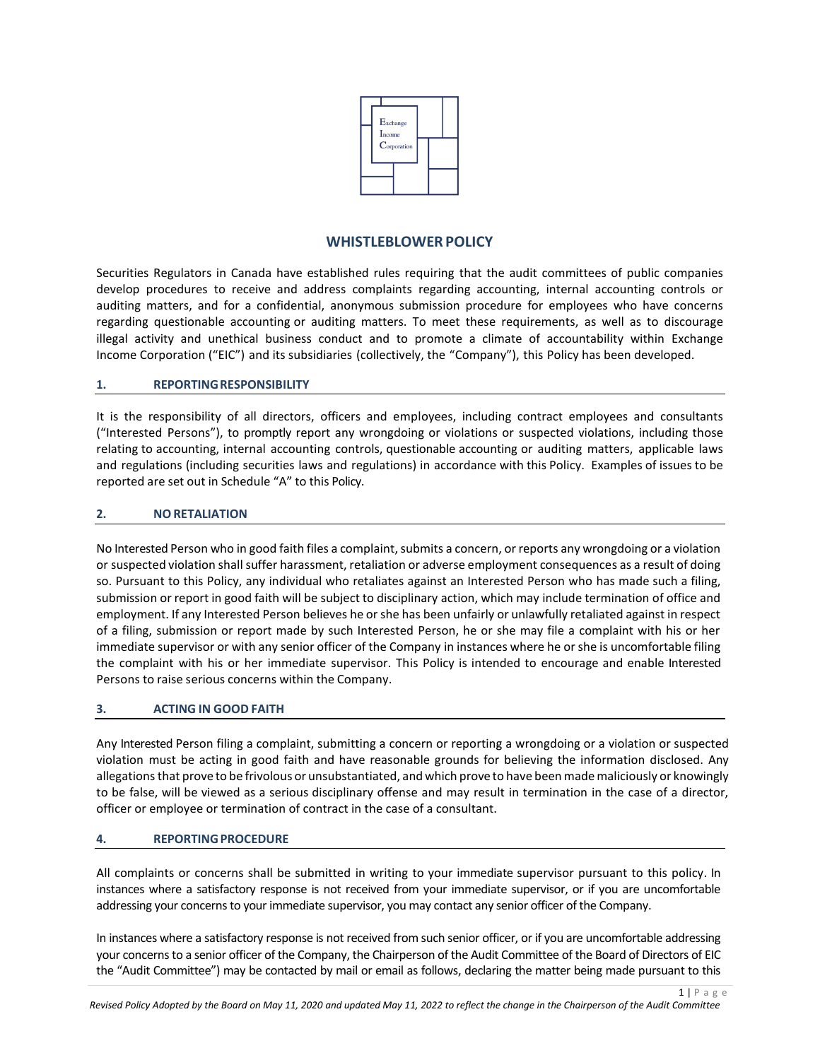

# **WHISTLEBLOWERPOLICY**

Securities Regulators in Canada have established rules requiring that the audit committees of public companies develop procedures to receive and address complaints regarding accounting, internal accounting controls or auditing matters, and for a confidential, anonymous submission procedure for employees who have concerns regarding questionable accounting or auditing matters. To meet these requirements, as well as to discourage illegal activity and unethical business conduct and to promote a climate of accountability within Exchange Income Corporation ("EIC") and its subsidiaries (collectively, the "Company"), this Policy has been developed.

### **1. REPORTINGRESPONSIBILITY**

It is the responsibility of all directors, officers and employees, including contract employees and consultants ("Interested Persons"), to promptly report any wrongdoing or violations or suspected violations, including those relating to accounting, internal accounting controls, questionable accounting or auditing matters, applicable laws and regulations (including securities laws and regulations) in accordance with this Policy. Examples of issues to be reported are set out in Schedule "A" to this Policy.

## **2. NORETALIATION**

No Interested Person who in good faith files a complaint, submits a concern, or reports any wrongdoing or a violation or suspected violation shall suffer harassment, retaliation or adverse employment consequences as a result of doing so. Pursuant to this Policy, any individual who retaliates against an Interested Person who has made such a filing, submission or report in good faith will be subject to disciplinary action, which may include termination of office and employment. If any Interested Person believes he or she has been unfairly or unlawfully retaliated against in respect of a filing, submission or report made by such Interested Person, he or she may file a complaint with his or her immediate supervisor or with any senior officer of the Company in instances where he or she is uncomfortable filing the complaint with his or her immediate supervisor. This Policy is intended to encourage and enable Interested Persons to raise serious concerns within the Company.

## **3. ACTING IN GOOD FAITH**

Any Interested Person filing a complaint, submitting a concern or reporting a wrongdoing or a violation or suspected violation must be acting in good faith and have reasonable grounds for believing the information disclosed. Any allegationsthat prove to be frivolous or unsubstantiated, and which prove to have been mademaliciously or knowingly to be false, will be viewed as a serious disciplinary offense and may result in termination in the case of a director, officer or employee or termination of contract in the case of a consultant.

#### **4. REPORTINGPROCEDURE**

All complaints or concerns shall be submitted in writing to your immediate supervisor pursuant to this policy. In instances where a satisfactory response is not received from your immediate supervisor, or if you are uncomfortable addressing your concerns to your immediate supervisor, you may contact any senior officer of the Company.

In instances where a satisfactory response is not received from such senior officer, or if you are uncomfortable addressing your concerns to a senior officer of the Company, the Chairperson of the Audit Committee of the Board of Directors of EIC the "Audit Committee") may be contacted by mail or email as follows, declaring the matter being made pursuant to this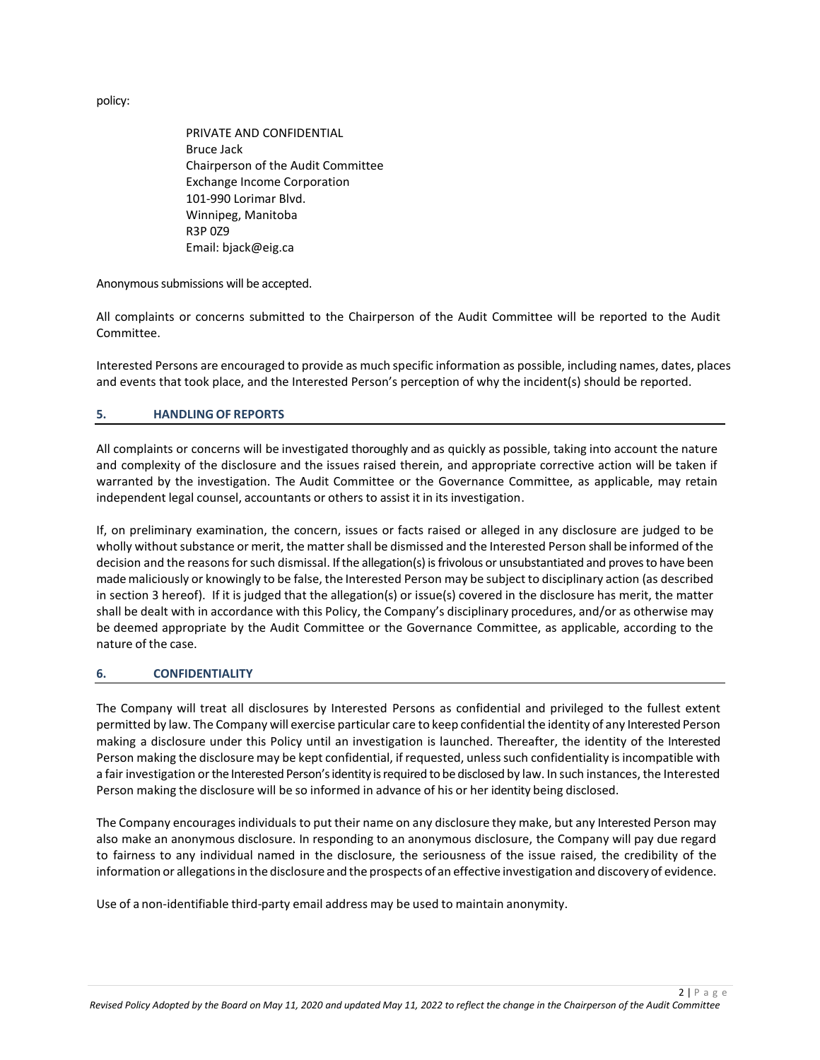policy:

PRIVATE AND CONFIDENTIAL Bruce Jack Chairperson of the Audit Committee Exchange Income Corporation 101-990 Lorimar Blvd. Winnipeg, Manitoba R3P 0Z9 Email: bjack@eig.ca

Anonymous submissions will be accepted.

All complaints or concerns submitted to the Chairperson of the Audit Committee will be reported to the Audit Committee.

Interested Persons are encouraged to provide as much specific information as possible, including names, dates, places and events that took place, and the Interested Person's perception of why the incident(s) should be reported.

## **5. HANDLING OF REPORTS**

All complaints or concerns will be investigated thoroughly and as quickly as possible, taking into account the nature and complexity of the disclosure and the issues raised therein, and appropriate corrective action will be taken if warranted by the investigation. The Audit Committee or the Governance Committee, as applicable, may retain independent legal counsel, accountants or others to assist it in its investigation.

If, on preliminary examination, the concern, issues or facts raised or alleged in any disclosure are judged to be wholly without substance or merit, the matter shall be dismissed and the Interested Person shall be informed of the decision and the reasons for such dismissal. If the allegation(s) is frivolous or unsubstantiated and proves to have been made maliciously or knowingly to be false, the Interested Person may be subject to disciplinary action (as described in section 3 hereof). If it is judged that the allegation(s) or issue(s) covered in the disclosure has merit, the matter shall be dealt with in accordance with this Policy, the Company's disciplinary procedures, and/or as otherwise may be deemed appropriate by the Audit Committee or the Governance Committee, as applicable, according to the nature of the case.

#### **6. CONFIDENTIALITY**

The Company will treat all disclosures by Interested Persons as confidential and privileged to the fullest extent permitted by law. The Company will exercise particular care to keep confidential the identity of any Interested Person making a disclosure under this Policy until an investigation is launched. Thereafter, the identity of the Interested Person making the disclosure may be kept confidential, if requested, unless such confidentiality is incompatible with a fair investigation orthe Interested Person's identity is required to be disclosed by law. In such instances, the Interested Person making the disclosure will be so informed in advance of his or her identity being disclosed.

The Company encourages individuals to put their name on any disclosure they make, but any Interested Person may also make an anonymous disclosure. In responding to an anonymous disclosure, the Company will pay due regard to fairness to any individual named in the disclosure, the seriousness of the issue raised, the credibility of the information or allegationsin the disclosure and the prospects of an effective investigation and discovery of evidence.

Use of a non-identifiable third-party email address may be used to maintain anonymity.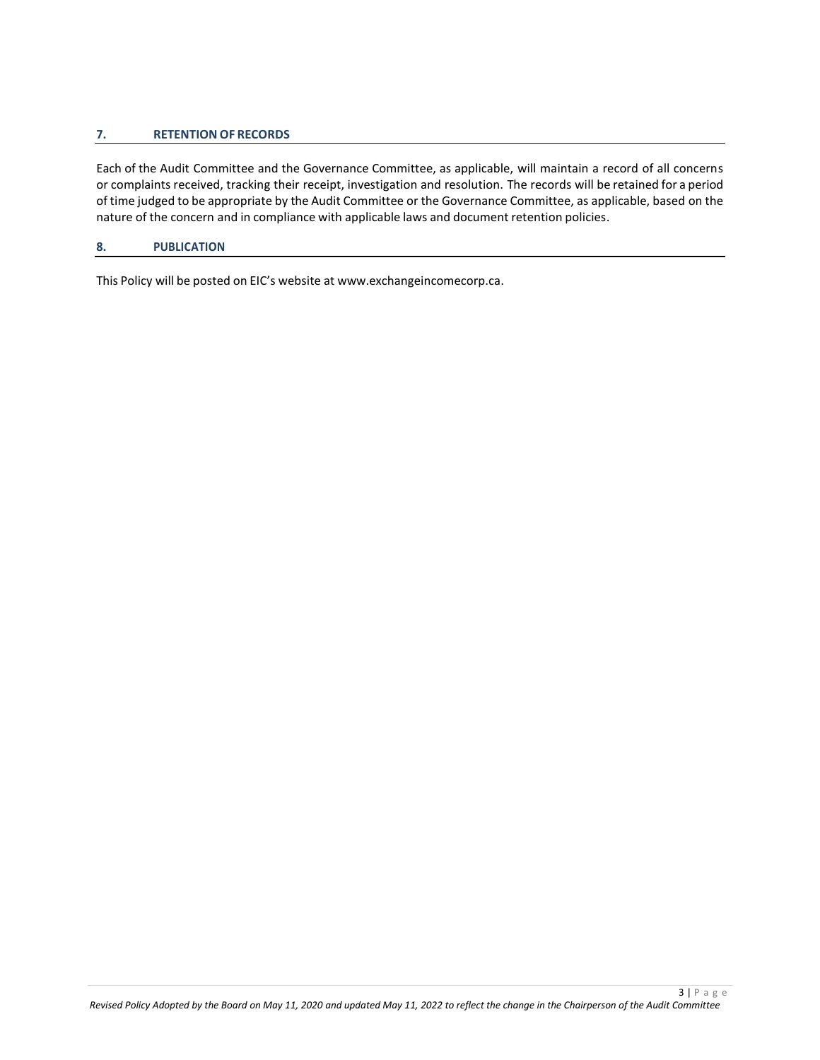### **7. RETENTION OF RECORDS**

Each of the Audit Committee and the Governance Committee, as applicable, will maintain a record of all concerns or complaints received, tracking their receipt, investigation and resolution. The records will be retained for a period of time judged to be appropriate by the Audit Committee or the Governance Committee, as applicable, based on the nature of the concern and in compliance with applicable laws and document retention policies.

#### **8. PUBLICATION**

This Policy will be posted on EIC's website at www.exchangeincomecorp.ca.